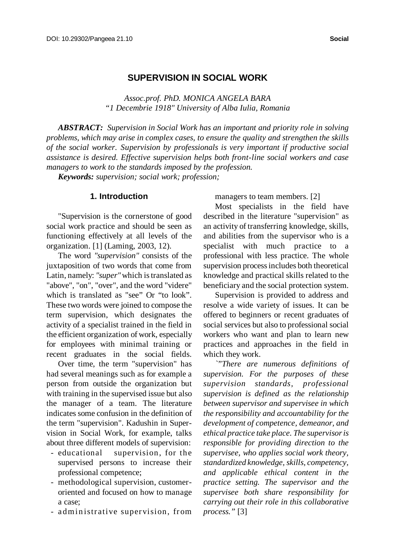# **SUPERVISION IN SOCIAL WORK**

*Assoc.prof. PhD. MONICA ANGELA BARA "1 Decembrie 1918" University of Alba Iulia, Romania*

*ABSTRACT: Supervision in Social Work has an important and priority role in solving problems, which may arise in complex cases, to ensure the quality and strengthen the skills of the social worker. Supervision by professionals is very important if productive social assistance is desired. Effective supervision helps both front-line social workers and case managers to work to the standards imposed by the profession.*

*Keywords: supervision; social work; profession;*

### **1. Introduction**

"Supervision is the cornerstone of good social work practice and should be seen as functioning effectively at all levels of the organization. [1] (Laming, 2003, 12).

The word *"supervision"* consists of the juxtaposition of two words that come from Latin, namely: "super" which is translated as "above", "on", "over", and the word "videre" which is translated as "see" Or "to look". These two words were joined to compose the term supervision, which designates the activity of a specialist trained in the field in the efficient organization of work, especially for employees with minimal training or recent graduates in the social fields.

Over time, the term "supervision" has had several meanings such as for example a person from outside the organization but with training in the supervised issue but also the manager of a team. The literature indicates some confusion in the definition of the term "supervision". Kadushin in Supervision in Social Work, for example, talks about three different models of supervision:

- educational supervision, for the supervised persons to increase their professional competence;
- methodological supervision, customeroriented and focused on how to manage a case;
- administrative supervision, from

managers to team members. [2]

Most specialists in the field have described in the literature "supervision" as an activity of transferring knowledge, skills, and abilities from the supervisor who is a specialist with much practice to a professional with less practice. The whole supervision processincludes both theoretical knowledge and practical skills related to the beneficiary and the social protection system.

Supervision is provided to address and resolve a wide variety of issues. It can be offered to beginners or recent graduates of social services but also to professional social workers who want and plan to learn new practices and approaches in the field in which they work.

*`"There are numerous definitions of supervision. For the purposes of these supervision standards, professional supervision is defined as the relationship between supervisor and supervisee in which the responsibility and accountability for the development of competence, demeanor, and ethical practice take place. The supervisoris responsible for providing direction to the supervisee, who applies social work theory, standardized knowledge, skills, competency, and applicable ethical content in the practice setting. The supervisor and the supervisee both share responsibility for carrying out their role in this collaborative process."* [3]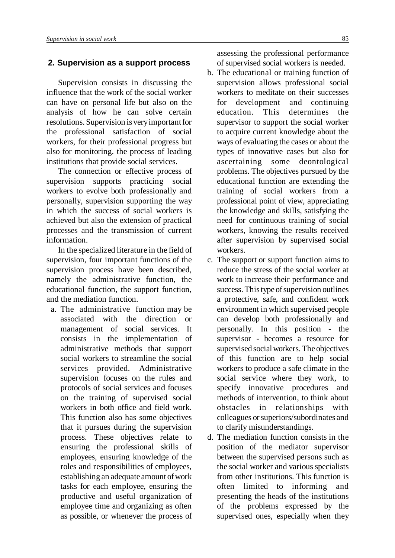### **2. Supervision as a support process**

Supervision consists in discussing the influence that the work of the social worker can have on personal life but also on the analysis of how he can solve certain resolutions. Supervision is veryimportant for the professional satisfaction of social workers, for their professional progress but also for monitoring. the process of leading institutions that provide social services.

The connection or effective process of supervision supports practicing social workers to evolve both professionally and personally, supervision supporting the way in which the success of social workers is achieved but also the extension of practical processes and the transmission of current information.

In the specialized literature in the field of supervision, four important functions of the supervision process have been described, namely the administrative function, the educational function, the support function, and the mediation function.

 a. The administrative function may be associated with the direction or management of social services. It consists in the implementation of administrative methods that support social workers to streamline the social services provided. Administrative supervision focuses on the rules and protocols of social services and focuses on the training of supervised social workers in both office and field work. This function also has some objectives that it pursues during the supervision process. These objectives relate to ensuring the professional skills of employees, ensuring knowledge of the roles and responsibilities of employees, establishing an adequate amount of work tasks for each employee, ensuring the productive and useful organization of employee time and organizing as often as possible, or whenever the process of assessing the professional performance of supervised social workers is needed.

- b. The educational or training function of supervision allows professional social workers to meditate on their successes for development and continuing education. This determines the supervisor to support the social worker to acquire current knowledge about the ways of evaluating the cases or about the types of innovative cases but also for ascertaining some deontological problems. The objectives pursued by the educational function are extending the training of social workers from a professional point of view, appreciating the knowledge and skills, satisfying the need for continuous training of social workers, knowing the results received after supervision by supervised social workers.
- c. The support or support function aims to reduce the stress of the social worker at work to increase their performance and success. This type of supervision outlines a protective, safe, and confident work environment in which supervised people can develop both professionally and personally. In this position - the supervisor - becomes a resource for supervised social workers. The objectives of this function are to help social workers to produce a safe climate in the social service where they work, to specify innovative procedures and methods of intervention, to think about obstacles in relationships with colleagues or superiors/subordinates and to clarify misunderstandings.
- d. The mediation function consists in the position of the mediator supervisor between the supervised persons such as the social worker and various specialists from other institutions. This function is often limited to informing and presenting the heads of the institutions of the problems expressed by the supervised ones, especially when they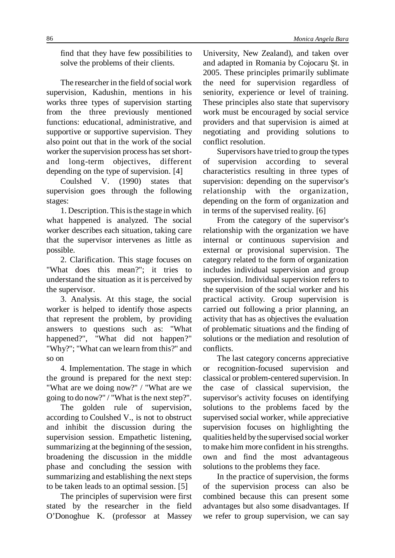find that they have few possibilities to solve the problems of their clients.

The researcher in the field of social work supervision, Kadushin, mentions in his works three types of supervision starting from the three previously mentioned functions: educational, administrative, and supportive or supportive supervision. They also point out that in the work of the social worker the supervision process has set shortand long-term objectives, different depending on the type of supervision. [4]

Coulshed V. (1990) states that supervision goes through the following stages:

1. Description. This is the stage in which what happened is analyzed. The social worker describes each situation, taking care that the supervisor intervenes as little as possible.

2. Clarification. This stage focuses on "What does this mean?"; it tries to understand the situation as it is perceived by the supervisor.

3. Analysis. At this stage, the social worker is helped to identify those aspects that represent the problem, by providing answers to questions such as: "What happened?", "What did not happen?" "Why?"; "What can we learn from this?" and so on

4. Implementation. The stage in which the ground is prepared for the next step: "What are we doing now?" / "What are we going to do now?" / "What is the next step?".

The golden rule of supervision, according to Coulshed V., is not to obstruct and inhibit the discussion during the supervision session. Empathetic listening, summarizing at the beginning of the session, broadening the discussion in the middle phase and concluding the session with summarizing and establishing the next steps to be taken leads to an optimal session. [5]

The principles of supervision were first stated by the researcher in the field O'Donoghue K. (professor at Massey

University, New Zealand), and taken over and adapted in Romania by Cojocaru Şt. in 2005. These principles primarily sublimate the need for supervision regardless of seniority, experience or level of training. These principles also state that supervisory work must be encouraged by social service providers and that supervision is aimed at negotiating and providing solutions to conflict resolution.

Supervisors have tried to group the types of supervision according to several characteristics resulting in three types of supervision: depending on the supervisor's relationship with the organization, depending on the form of organization and in terms of the supervised reality. [6]

From the category of the supervisor's relationship with the organization we have internal or continuous supervision and external or provisional supervision. The category related to the form of organization includes individual supervision and group supervision. Individual supervision refers to the supervision of the social worker and his practical activity. Group supervision is carried out following a prior planning, an activity that has as objectives the evaluation of problematic situations and the finding of solutions or the mediation and resolution of conflicts.

The last category concerns appreciative or recognition-focused supervision and classical or problem-centered supervision. In the case of classical supervision, the supervisor's activity focuses on identifying solutions to the problems faced by the supervised social worker, while appreciative supervision focuses on highlighting the qualities held bythe supervised social worker to make him more confident in hisstrengths. own and find the most advantageous solutions to the problems they face.

In the practice of supervision, the forms of the supervision process can also be combined because this can present some advantages but also some disadvantages. If we refer to group supervision, we can say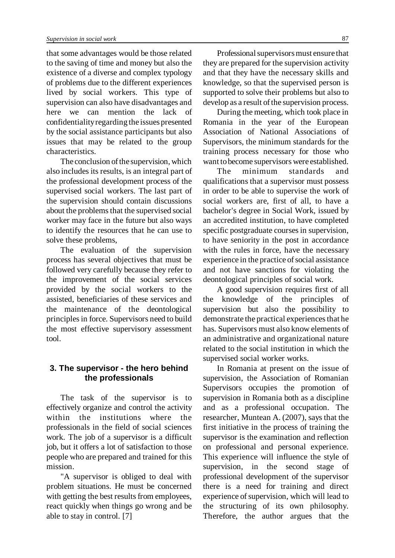that some advantages would be those related to the saving of time and money but also the existence of a diverse and complex typology of problems due to the different experiences lived by social workers. This type of supervision can also have disadvantages and here we can mention the lack of confidentiality regarding the issues presented by the social assistance participants but also issues that may be related to the group characteristics.

The conclusion of the supervision, which also includes its results, is an integral part of the professional development process of the supervised social workers. The last part of the supervision should contain discussions about the problems that the supervised social worker may face in the future but also ways to identify the resources that he can use to solve these problems,

The evaluation of the supervision process has several objectives that must be followed very carefully because they refer to the improvement of the social services provided by the social workers to the assisted, beneficiaries of these services and the maintenance of the deontological principlesin force. Supervisors need to build the most effective supervisory assessment tool.

## **3. The supervisor - the hero behind the professionals**

The task of the supervisor is to effectively organize and control the activity within the institutions where the professionals in the field of social sciences work. The job of a supervisor is a difficult job, but it offers a lot of satisfaction to those people who are prepared and trained for this mission.

"A supervisor is obliged to deal with problem situations. He must be concerned with getting the best results from employees, react quickly when things go wrong and be able to stay in control. [7]

Professional supervisors must ensure that they are prepared for the supervision activity and that they have the necessary skills and knowledge, so that the supervised person is supported to solve their problems but also to develop as a result of the supervision process.

During the meeting, which took place in Romania in the year of the European Association of National Associations of Supervisors, the minimum standards for the training process necessary for those who want tobecome supervisors were established.

The minimum standards and qualifications that a supervisor must possess in order to be able to supervise the work of social workers are, first of all, to have a bachelor's degree in Social Work, issued by an accredited institution, to have completed specific postgraduate courses in supervision, to have seniority in the post in accordance with the rules in force, have the necessary experience in the practice of social assistance and not have sanctions for violating the deontological principles of social work.

A good supervision requires first of all the knowledge of the principles supervision but also the possibility to demonstrate the practical experiences that he has. Supervisors must also know elements of an administrative and organizational nature related to the social institution in which the supervised social worker works.

In Romania at present on the issue of supervision, the Association of Romanian Supervisors occupies the promotion of supervision in Romania both as a discipline and as a professional occupation. The researcher, Muntean A. (2007), says that the first initiative in the process of training the supervisor is the examination and reflection on professional and personal experience. This experience will influence the style of supervision, in the second stage of professional development of the supervisor there is a need for training and direct experience of supervision, which will lead to the structuring of its own philosophy. Therefore, the author argues that the